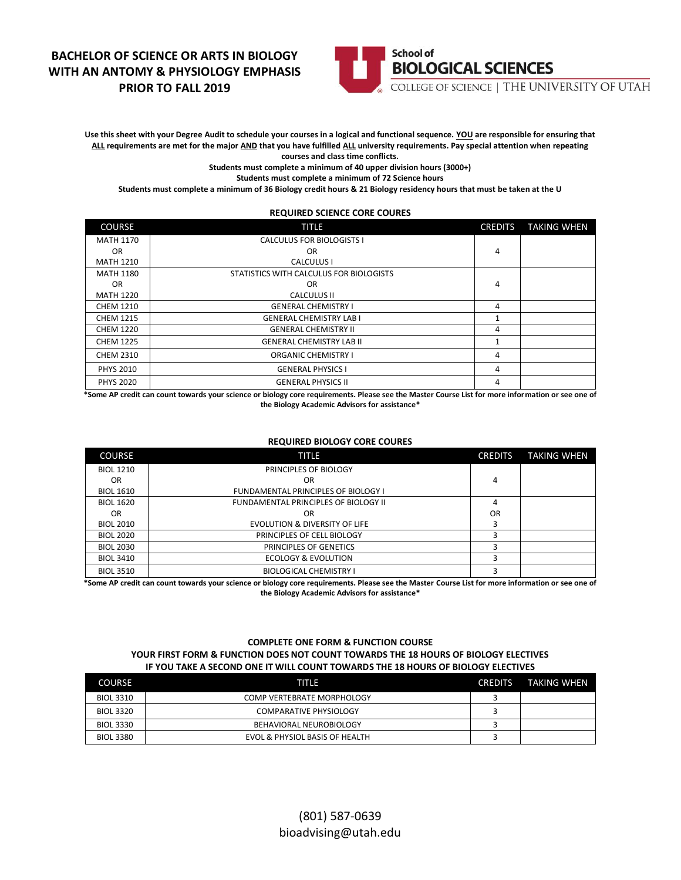# **BACHELOR OF SCIENCE OR ARTS IN BIOLOGY WITH AN ANTOMY & PHYSIOLOGY EMPHASIS PRIOR TO FALL 2019**



**Use this sheet with your Degree Audit to schedule your courses in a logical and functional sequence. YOU are responsible for ensuring that ALL requirements are met for the major AND that you have fulfilled ALL university requirements. Pay special attention when repeating courses and class time conflicts.**

**Students must complete a minimum of 40 upper division hours (3000+)**

**Students must complete a minimum of 72 Science hours**

**Students must complete a minimum of 36 Biology credit hours & 21 Biology residency hours that must be taken at the U**

#### **REQUIRED SCIENCE CORE COURES** COURSE **TITLE** TITLE **TITLE** COURSE THE CREDITS TAKING WHEN MATH 1170 OR MATH 1210 CALCULUS FOR BIOLOGISTS I OR CALCULUS I 4 MATH 1180 OR **MATH 1220**<br>CHEM 1210 STATISTICS WITH CALCULUS FOR BIOLOGISTS OR CALCULUS II 4 CHEM 1210 GENERAL CHEMISTRY I 4<br>CHEM 1215 GENERAL CHEMISTRY LAB I 1 CHEM 1215 GENERAL CHEMISTRY LAB I 1 CHEM 1220 GENERAL CHEMISTRY II 4 CHEM 1225 GENERAL CHEMISTRY LAB II 1 CHEM 2310 CREMISTRY I 4 PHYS 2010 2010 CENERAL PHYSICS I 4 PHYS 2020 **CENERAL PHYSICS II** 4

**\*Some AP credit can count towards your science or biology core requirements. Please see the Master Course List for more information or see one of the Biology Academic Advisors for assistance\***

#### **REQUIRED BIOLOGY CORE COURES**

| <b>COURSE</b>    | TITLE                                      | <b>CREDITS</b> | <b>TAKING WHEN</b> |
|------------------|--------------------------------------------|----------------|--------------------|
| <b>BIOL 1210</b> | PRINCIPLES OF BIOLOGY                      |                |                    |
| 0 <sub>R</sub>   | OR                                         | 4              |                    |
| <b>BIOL 1610</b> | <b>FUNDAMENTAL PRINCIPLES OF BIOLOGY I</b> |                |                    |
| <b>BIOL 1620</b> | FUNDAMENTAL PRINCIPLES OF BIOLOGY II       | 4              |                    |
| OR.              | OR                                         | <b>OR</b>      |                    |
| <b>BIOL 2010</b> | <b>EVOLUTION &amp; DIVERSITY OF LIFE</b>   | 3              |                    |
| <b>BIOL 2020</b> | PRINCIPLES OF CELL BIOLOGY                 |                |                    |
| <b>BIOL 2030</b> | PRINCIPLES OF GENETICS                     |                |                    |
| <b>BIOL 3410</b> | <b>ECOLOGY &amp; EVOLUTION</b>             |                |                    |
| <b>BIOL 3510</b> | <b>BIOLOGICAL CHEMISTRY I</b>              |                |                    |

**\*Some AP credit can count towards your science or biology core requirements. Please see the Master Course List for more information or see one of the Biology Academic Advisors for assistance\***

### **COMPLETE ONE FORM & FUNCTION COURSE YOUR FIRST FORM & FUNCTION DOES NOT COUNT TOWARDS THE 18 HOURS OF BIOLOGY ELECTIVES IF YOU TAKE A SECOND ONE IT WILL COUNT TOWARDS THE 18 HOURS OF BIOLOGY ELECTIVES**

| <b>COURSE</b>    | TITLE                          | <b>CREDITS</b> | TAKING WHEN |
|------------------|--------------------------------|----------------|-------------|
| <b>BIOL 3310</b> | COMP VERTEBRATE MORPHOLOGY     |                |             |
| <b>BIOL 3320</b> | <b>COMPARATIVE PHYSIOLOGY</b>  |                |             |
| <b>BIOL 3330</b> | BEHAVIORAL NEUROBIOLOGY        |                |             |
| <b>BIOL 3380</b> | EVOL & PHYSIOL BASIS OF HEALTH |                |             |